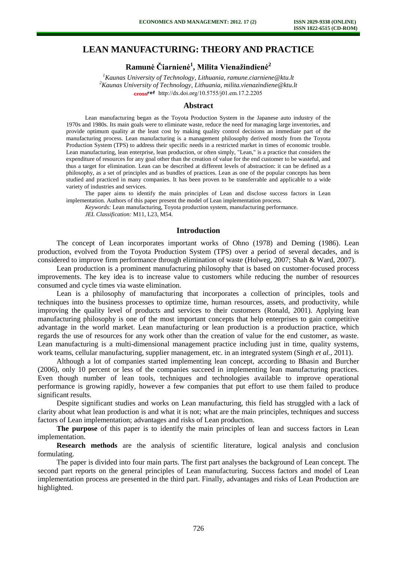# **LEAN MANUFACTURING: THEORY AND PRACTICE**

**Ramunė Čiarnienė<sup>1</sup> , Milita Vienažindienė<sup>2</sup>**

*<sup>1</sup>Kaunas University of Technology, Lithuania, ramune.ciarniene@ktu.lt <sup>2</sup>Kaunas University of Technology, Lithuania, milita.vienazindiene@ktu.lt* cross<sup>ref</sup> [http://dx.doi.org/10.5755/j01.e](http://dx.doi.org/10.5755/j01.em.17.2.2205)m.17.2.2205

# **Abstract**

Lean manufacturing began as the Toyota Production System in the Japanese auto industry of the 1970s and 1980s. Its main goals were to eliminate waste, reduce the need for managing large inventories, and provide optimum quality at the least cost by making quality control decisions an immediate part of the manufacturing process. Lean manufacturing is a management philosophy derived mostly from the Toyota Production System (TPS) to address their specific needs in a restricted market in times of economic trouble. Lean manufacturing, lean enterprise, lean production, or often simply, "Lean," is a practice that considers the expenditure of resources for any goal other than the creation of value for the end customer to be wasteful, and thus a target for elimination. Lean can be described at different levels of abstraction: it can be defined as a philosophy, as a set of principles and as bundles of practices. Lean as one of the popular concepts has been studied and practiced in many companies. It has been proven to be transferrable and applicable to a wide variety of industries and services.

The paper aims to identify the main principles of Lean and disclose success factors in Lean implementation. Authors of this paper present the model of Lean implementation process.

*Keywords:* Lean manufacturing, Toyota production system, manufacturing performance. *JEL Classification:* M11, L23, M54.

# **Introduction**

The concept of Lean incorporates important works of Ohno (1978) and Deming (1986). Lean production, evolved from the Toyota Production System (TPS) over a period of several decades, and is considered to improve firm performance through elimination of waste (Holweg, 2007; Shah & Ward, 2007).

Lean production is a prominent manufacturing philosophy that is based on customer-focused process improvements. The key idea is to increase value to customers while reducing the number of resources consumed and cycle times via waste elimination.

Lean is a philosophy of manufacturing that incorporates a collection of principles, tools and techniques into the business processes to optimize time, human resources, assets, and productivity, while improving the quality level of products and services to their customers (Ronald, 2001). Applying lean manufacturing philosophy is one of the most important concepts that help enterprises to gain competitive advantage in the world market. Lean manufacturing or lean production is a production practice, which regards the use of resources for any work other than the creation of value for the end customer, as waste. Lean manufacturing is a multi-dimensional management practice including just in time, quality systems, work teams, cellular manufacturing, supplier management, etc. in an integrated system (Singh *et al.,* 2011).

Although a lot of companies started implementing lean concept, according to Bhasin and Burcher (2006), only 10 percent or less of the companies succeed in implementing lean manufacturing practices. Even though number of lean tools, techniques and technologies available to improve operational performance is growing rapidly, however a few companies that put effort to use them failed to produce significant results.

Despite significant studies and works on Lean manufacturing, this field has struggled with a lack of clarity about what lean production is and what it is not; what are the main principles, techniques and success factors of Lean implementation; advantages and risks of Lean production.

**The purpose** of this paper is to identify the main principles of lean and success factors in Lean implementation.

**Research methods** are the analysis of scientific literature, logical analysis and conclusion formulating.

The paper is divided into four main parts. The first part analyses the background of Lean concept. The second part reports on the general principles of Lean manufacturing. Success factors and model of Lean implementation process are presented in the third part. Finally, advantages and risks of Lean Production are highlighted.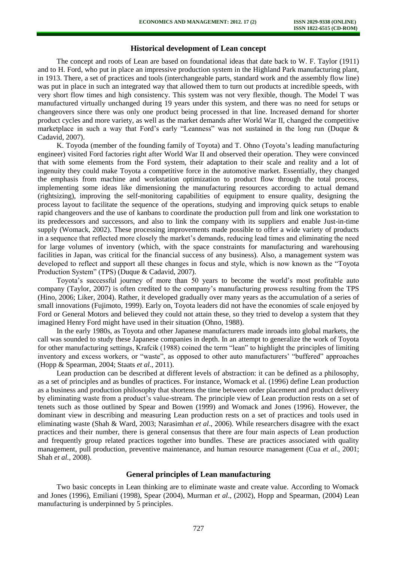# **Historical development of Lean concept**

The concept and roots of Lean are based on foundational ideas that date back to W. F. Taylor (1911) and to H. Ford, who put in place an impressive production system in the Highland Park manufacturing plant, in 1913. There, a set of practices and tools (interchangeable parts, standard work and the assembly flow line) was put in place in such an integrated way that allowed them to turn out products at incredible speeds, with very short flow times and high consistency. This system was not very flexible, though. The Model T was manufactured virtually unchanged during 19 years under this system, and there was no need for setups or changeovers since there was only one product being processed in that line. Increased demand for shorter product cycles and more variety, as well as the market demands after World War II, changed the competitive marketplace in such a way that Ford's early "Leanness" was not sustained in the long run (Duque & Cadavid, 2007).

K. Toyoda (member of the founding family of Toyota) and T. Ohno (Toyota's leading manufacturing engineer) visited Ford factories right after World War II and observed their operation. They were convinced that with some elements from the Ford system, their adaptation to their scale and reality and a lot of ingenuity they could make Toyota a competitive force in the automotive market. Essentially, they changed the emphasis from machine and workstation optimization to product flow through the total process, implementing some ideas like dimensioning the manufacturing resources according to actual demand (rightsizing), improving the self-monitoring capabilities of equipment to ensure quality, designing the process layout to facilitate the sequence of the operations, studying and improving quick setups to enable rapid changeovers and the use of kanbans to coordinate the production pull from and link one workstation to its predecessors and successors, and also to link the company with its suppliers and enable Just-in-time supply (Womack, 2002). These processing improvements made possible to offer a wide variety of products in a sequence that reflected more closely the market's demands, reducing lead times and eliminating the need for large volumes of inventory (which, with the space constraints for manufacturing and warehousing facilities in Japan, was critical for the financial success of any business). Also, a management system was developed to reflect and support all these changes in focus and style, which is now known as the "Toyota Production System" (TPS) (Duque & Cadavid, 2007).

Toyota's successful journey of more than 50 years to become the world's most profitable auto company (Taylor, 2007) is often credited to the company's manufacturing prowess resulting from the TPS (Hino, 2006; Liker, 2004). Rather, it developed gradually over many years as the accumulation of a series of small innovations (Fujimoto, 1999). Early on, Toyota leaders did not have the economies of scale enjoyed by Ford or General Motors and believed they could not attain these, so they tried to develop a system that they imagined Henry Ford might have used in their situation (Ohno, 1988).

In the early 1980s, as Toyota and other Japanese manufacturers made inroads into global markets, the call was sounded to study these Japanese companies in depth. In an attempt to generalize the work of Toyota for other manufacturing settings, Krafcik (1988) coined the term "lean" to highlight the principles of limiting inventory and excess workers, or "waste", as opposed to other auto manufacturers' "buffered" approaches (Hopp & Spearman, 2004; Staats *et al*., 2011).

Lean production can be described at different levels of abstraction: it can be defined as a philosophy, as a set of principles and as bundles of practices. For instance, Womack et al. (1996) define Lean production as a business and production philosophy that shortens the time between order placement and product delivery by eliminating waste from a product's value-stream. The principle view of Lean production rests on a set of tenets such as those outlined by Spear and Bowen (1999) and Womack and Jones (1996). However, the dominant view in describing and measuring Lean production rests on a set of practices and tools used in eliminating waste (Shah & Ward, 2003; Narasimhan *et al*., 2006). While researchers disagree with the exact practices and their number, there is general consensus that there are four main aspects of Lean production and frequently group related practices together into bundles. These are practices associated with quality management, pull production, preventive maintenance, and human resource management (Cua *et al*., 2001; Shah *et al.,* 2008).

#### **General principles of Lean manufacturing**

Two basic concepts in Lean thinking are to eliminate waste and create value. According to Womack and Jones (1996), Emiliani (1998), Spear (2004), Murman *et al*., (2002), Hopp and Spearman, (2004) Lean manufacturing is underpinned by 5 principles.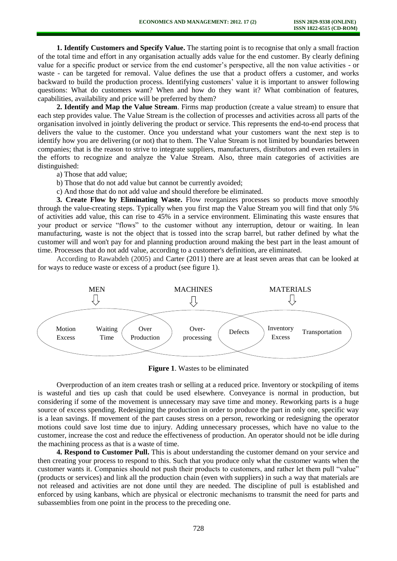**1. Identify Customers and Specify Value.** The starting point is to recognise that only a small fraction of the total time and effort in any organisation actually adds value for the end customer. By clearly defining value for a specific product or service from the end customer's perspective, all the non value activities - or waste - can be targeted for removal. Value defines the use that a product offers a customer, and works backward to build the production process. Identifying customers' value it is important to answer following questions: What do customers want? When and how do they want it? What combination of features, capabilities, availability and price will be preferred by them?

**2. Identify and Map the Value Stream**. Firms map production (create a value stream) to ensure that each step provides value. The Value Stream is the collection of processes and activities across all parts of the organisation involved in jointly delivering the product or service. This represents the end-to-end process that delivers the value to the customer. Once you understand what your customers want the next step is to identify how you are delivering (or not) that to them. The Value Stream is not limited by boundaries between companies; that is the reason to strive to integrate suppliers, manufacturers, distributors and even retailers in the efforts to recognize and analyze the Value Stream. Also, three main categories of activities are distinguished:

- a) Those that add value;
- b) Those that do not add value but cannot be currently avoided;
- c) And those that do not add value and should therefore be eliminated.

**3. Create Flow by Eliminating Waste.** Flow reorganizes processes so products move smoothly through the value-creating steps. Typically when you first map the Value Stream you will find that only 5% of activities add value, this can rise to 45% in a service environment. Eliminating this waste ensures that your product or service "flows" to the customer without any interruption, detour or waiting. In lean manufacturing, waste is not the object that is tossed into the scrap barrel, but rather defined by what the customer will and won't pay for and planning production around making the best part in the least amount of time. Processes that do not add value, according to a customer's definition, are eliminated.

According to Rawabdeh (2005) and Carter (2011) there are at least seven areas that can be looked at for ways to reduce waste or excess of a product (see figure 1).



**Figure 1**. Wastes to be eliminated

Overproduction of an item creates trash or selling at a reduced price. Inventory or stockpiling of items is wasteful and ties up cash that could be used elsewhere. Conveyance is normal in production, but considering if some of the movement is unnecessary may save time and money. Reworking parts is a huge source of excess spending. Redesigning the production in order to produce the part in only one, specific way is a lean savings. If movement of the part causes stress on a person, reworking or redesigning the operator motions could save lost time due to injury. Adding unnecessary processes, which have no value to the customer, increase the cost and reduce the effectiveness of production. An operator should not be idle during the machining process as that is a waste of time.

**4. Respond to Customer Pull.** This is about understanding the customer demand on your service and then creating your process to respond to this. Such that you produce only what the customer wants when the customer wants it. Companies should not push their products to customers, and rather let them pull "value" (products or services) and link all the production chain (even with suppliers) in such a way that materials are not released and activities are not done until they are needed. The discipline of pull is established and enforced by using kanbans, which are physical or electronic mechanisms to transmit the need for parts and subassemblies from one point in the process to the preceding one.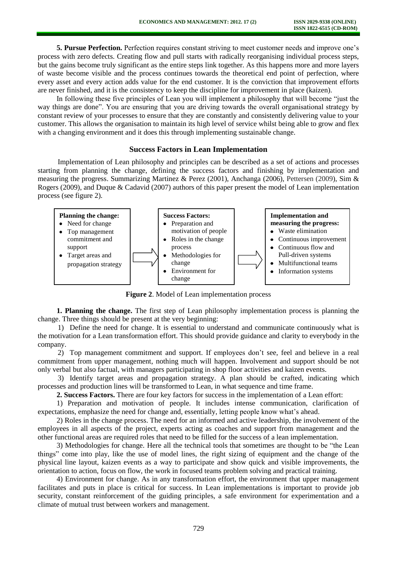**5. Pursue Perfection.** Perfection requires constant striving to meet customer needs and improve one's process with zero defects. Creating flow and pull starts with radically reorganising individual process steps, but the gains become truly significant as the entire steps link together. As this happens more and more layers of waste become visible and the process continues towards the theoretical end point of perfection, where every asset and every action adds value for the end customer. It is the conviction that improvement efforts are never finished, and it is the consistency to keep the discipline for improvement in place (kaizen).

In following these five principles of Lean you will implement a philosophy that will become "just the way things are done". You are ensuring that you are driving towards the overall organisational strategy by constant review of your processes to ensure that they are constantly and consistently delivering value to your customer. This allows the organisation to maintain its high level of service whilst being able to grow and flex with a changing environment and it does this through implementing sustainable change.

# **Success Factors in Lean Implementation**

Implementation of Lean philosophy and principles can be described as a set of actions and processes starting from planning the change, defining the success factors and finishing by implementation and measuring the progress. Summarizing Martinez & Perez (2001), Anchanga (2006), Pettersen (2009), Sim & Rogers (2009), and Duque & Cadavid (2007) authors of this paper present the model of Lean implementation process (see figure 2).



**Figure 2**. Model of Lean implementation process

**1. Planning the change.** The first step of Lean philosophy implementation process is planning the change. Three things should be present at the very beginning:

1) Define the need for change. It is essential to understand and communicate continuously what is the motivation for a Lean transformation effort. This should provide guidance and clarity to everybody in the company.

2) Top management commitment and support. If employees don't see, feel and believe in a real commitment from upper management, nothing much will happen. Involvement and support should be not only verbal but also factual, with managers participating in shop floor activities and kaizen events.

3) Identify target areas and propagation strategy. A plan should be crafted, indicating which processes and production lines will be transformed to Lean, in what sequence and time frame.

**2. Success Factors.** There are four key factors for success in the implementation of a Lean effort:

1) Preparation and motivation of people. It includes intense communication, clarification of expectations, emphasize the need for change and, essentially, letting people know what's ahead.

2) Roles in the change process. The need for an informed and active leadership, the involvement of the employees in all aspects of the project, experts acting as coaches and support from management and the other functional areas are required roles that need to be filled for the success of a lean implementation.

3) Methodologies for change. Here all the technical tools that sometimes are thought to be "the Lean things" come into play, like the use of model lines, the right sizing of equipment and the change of the physical line layout, kaizen events as a way to participate and show quick and visible improvements, the orientation to action, focus on flow, the work in focused teams problem solving and practical training.

4) Environment for change. As in any transformation effort, the environment that upper management facilitates and puts in place is critical for success. In Lean implementations is important to provide job security, constant reinforcement of the guiding principles, a safe environment for experimentation and a climate of mutual trust between workers and management.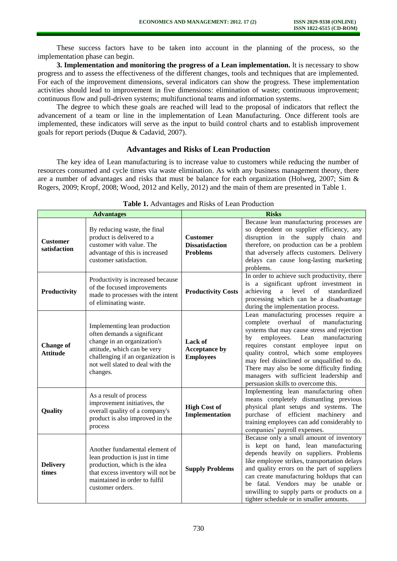These success factors have to be taken into account in the planning of the process, so the implementation phase can begin.

**3. Implementation and monitoring the progress of a Lean implementation.** It is necessary to show progress and to assess the effectiveness of the different changes, tools and techniques that are implemented. For each of the improvement dimensions, several indicators can show the progress. These implementation activities should lead to improvement in five dimensions: elimination of waste; continuous improvement; continuous flow and pull-driven systems; multifunctional teams and information systems.

The degree to which these goals are reached will lead to the proposal of indicators that reflect the advancement of a team or line in the implementation of Lean Manufacturing. Once different tools are implemented, these indicators will serve as the input to build control charts and to establish improvement goals for report periods (Duque & Cadavid, 2007).

### **Advantages and Risks of Lean Production**

The key idea of Lean manufacturing is to increase value to customers while reducing the number of resources consumed and cycle times via waste elimination. As with any business management theory, there are a number of advantages and risks that must be balance for each organization (Holweg, 2007; Sim & Rogers, 2009; Kropf, 2008; Wood, 2012 and Kelly, 2012) and the main of them are presented in Table 1.

| <b>Advantages</b>                   |                                                                                                                                                                                                                | <b>Risks</b>                                                 |                                                                                                                                                                                                                                                                                                                                                                                                                                                |
|-------------------------------------|----------------------------------------------------------------------------------------------------------------------------------------------------------------------------------------------------------------|--------------------------------------------------------------|------------------------------------------------------------------------------------------------------------------------------------------------------------------------------------------------------------------------------------------------------------------------------------------------------------------------------------------------------------------------------------------------------------------------------------------------|
| <b>Customer</b><br>satisfaction     | By reducing waste, the final<br>product is delivered to a<br>customer with value. The<br>advantage of this is increased<br>customer satisfaction.                                                              | <b>Customer</b><br><b>Dissatisfaction</b><br><b>Problems</b> | Because lean manufacturing processes are<br>so dependent on supplier efficiency, any<br>disruption in the supply chain and<br>therefore, on production can be a problem<br>that adversely affects customers. Delivery<br>delays can cause long-lasting marketing<br>problems.                                                                                                                                                                  |
| Productivity                        | Productivity is increased because<br>of the focused improvements<br>made to processes with the intent<br>of eliminating waste.                                                                                 | <b>Productivity Costs</b>                                    | In order to achieve such productivity, there<br>is a significant upfront investment in<br>achieving<br>level<br><sub>of</sub><br>a<br>standardized<br>processing which can be a disadvantage<br>during the implementation process.                                                                                                                                                                                                             |
| <b>Change of</b><br><b>Attitude</b> | Implementing lean production<br>often demands a significant<br>change in an organization's<br>attitude, which can be very<br>challenging if an organization is<br>not well slated to deal with the<br>changes. | Lack of<br><b>Acceptance by</b><br><b>Employees</b>          | Lean manufacturing processes require a<br>overhaul of<br>manufacturing<br>complete<br>systems that may cause stress and rejection<br>manufacturing<br>employees.<br>Lean<br>by<br>requires constant employee<br>input on<br>quality control, which some employees<br>may feel disinclined or unqualified to do.<br>There may also be some difficulty finding<br>managers with sufficient leadership and<br>persuasion skills to overcome this. |
| Quality                             | As a result of process<br>improvement initiatives, the<br>overall quality of a company's<br>product is also improved in the<br>process                                                                         | <b>High Cost of</b><br>Implementation                        | Implementing lean manufacturing often<br>means completely dismantling previous<br>physical plant setups and systems. The<br>purchase of efficient machinery<br>and<br>training employees can add considerably to<br>companies' payroll expenses.                                                                                                                                                                                               |
| <b>Delivery</b><br>times            | Another fundamental element of<br>lean production is just in time<br>production, which is the idea<br>that excess inventory will not be<br>maintained in order to fulfil<br>customer orders.                   | <b>Supply Problems</b>                                       | Because only a small amount of inventory<br>is kept on hand, lean manufacturing<br>depends heavily on suppliers. Problems<br>like employee strikes, transportation delays<br>and quality errors on the part of suppliers<br>can create manufacturing holdups that can<br>be fatal. Vendors may be unable or<br>unwilling to supply parts or products on a<br>tighter schedule or in smaller amounts.                                           |

**Table 1.** Advantages and Risks of Lean Production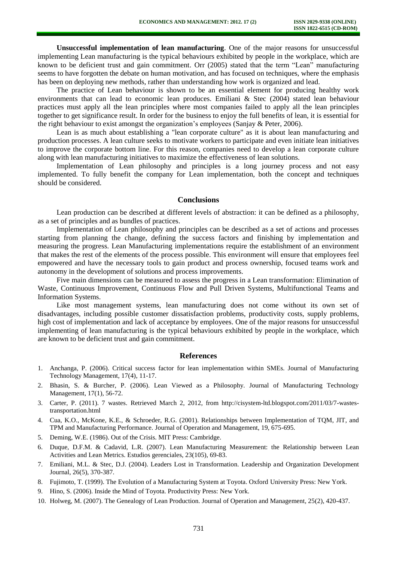**Unsuccessful implementation of lean manufacturing**. One of the major reasons for unsuccessful implementing Lean manufacturing is the typical behaviours exhibited by people in the workplace, which are known to be deficient trust and gain commitment. Orr (2005) stated that the term "Lean" manufacturing seems to have forgotten the debate on human motivation, and has focused on techniques, where the emphasis has been on deploying new methods, rather than understanding how work is organized and lead.

The practice of Lean behaviour is shown to be an essential element for producing healthy work environments that can lead to economic lean produces. Emiliani & Stec (2004) stated lean behaviour practices must apply all the lean principles where most companies failed to apply all the lean principles together to get significance result. In order for the business to enjoy the full benefits of lean, it is essential for the right behaviour to exist amongst the organization's employees (Sanjay & Peter, 2006).

Lean is as much about establishing a "lean corporate culture" as it is about lean manufacturing and production processes. A lean culture seeks to motivate workers to participate and even initiate lean initiatives to improve the corporate bottom line. For this reason, companies need to develop a lean corporate culture along with lean manufacturing initiatives to maximize the effectiveness of lean solutions.

Implementation of Lean philosophy and principles is a long journey process and not easy implemented. To fully benefit the company for Lean implementation, both the concept and techniques should be considered.

### **Conclusions**

Lean production can be described at different levels of abstraction: it can be defined as a philosophy, as a set of principles and as bundles of practices.

Implementation of Lean philosophy and principles can be described as a set of actions and processes starting from planning the change, defining the success factors and finishing by implementation and measuring the progress. Lean Manufacturing implementations require the establishment of an environment that makes the rest of the elements of the process possible. This environment will ensure that employees feel empowered and have the necessary tools to gain product and process ownership, focused teams work and autonomy in the development of solutions and process improvements.

Five main dimensions can be measured to assess the progress in a Lean transformation: Elimination of Waste, Continuous Improvement, Continuous Flow and Pull Driven Systems, Multifunctional Teams and Information Systems.

Like most management systems, lean manufacturing does not come without its own set of disadvantages, including possible customer dissatisfaction problems, productivity costs, supply problems, high cost of implementation and lack of acceptance by employees. One of the major reasons for unsuccessful implementing of lean manufacturing is the typical behaviours exhibited by people in the workplace, which are known to be deficient trust and gain commitment.

#### **References**

- 1. Anchanga, P. (2006). Critical success factor for lean implementation within SMEs. Journal of Manufacturing Technology Management, 17(4), 11-17.
- 2. Bhasin, S. & Burcher, P. (2006). Lean Viewed as a Philosophy. Journal of Manufacturing Technology Management, 17(1), 56-72.
- 3. Carter, P. (2011). 7 wastes. Retrieved March 2, 2012, from http://cisystem-ltd.blogspot.com/2011/03/7-wastestransportation.html
- 4. Cua, K.O., McKone, K.E., & Schroeder, R.G. (2001). Relationships between Implementation of TQM, JIT, and TPM and Manufacturing Performance. Journal of Operation and Management, 19, 675-695.
- 5. Deming, W.E. (1986). Out of the Crisis. MIT Press: Cambridge.
- 6. Duque, D.F.M. & Cadavid, L.R. (2007). Lean Manufacturing Measurement: the Relationship between Lean Activities and Lean Metrics. Estudios gerenciales, 23(105), 69-83.
- 7. Emiliani, M.L. & Stec, D.J. (2004). Leaders Lost in Transformation. Leadership and Organization Development Journal, 26(5), 370-387.
- 8. Fujimoto, T. (1999). The Evolution of a Manufacturing System at Toyota. Oxford University Press: New York.
- 9. Hino, S. (2006). Inside the Mind of Toyota. Productivity Press: New York.
- 10. Holweg, M. (2007). The Genealogy of Lean Production. Journal of Operation and Management, 25(2), 420-437.